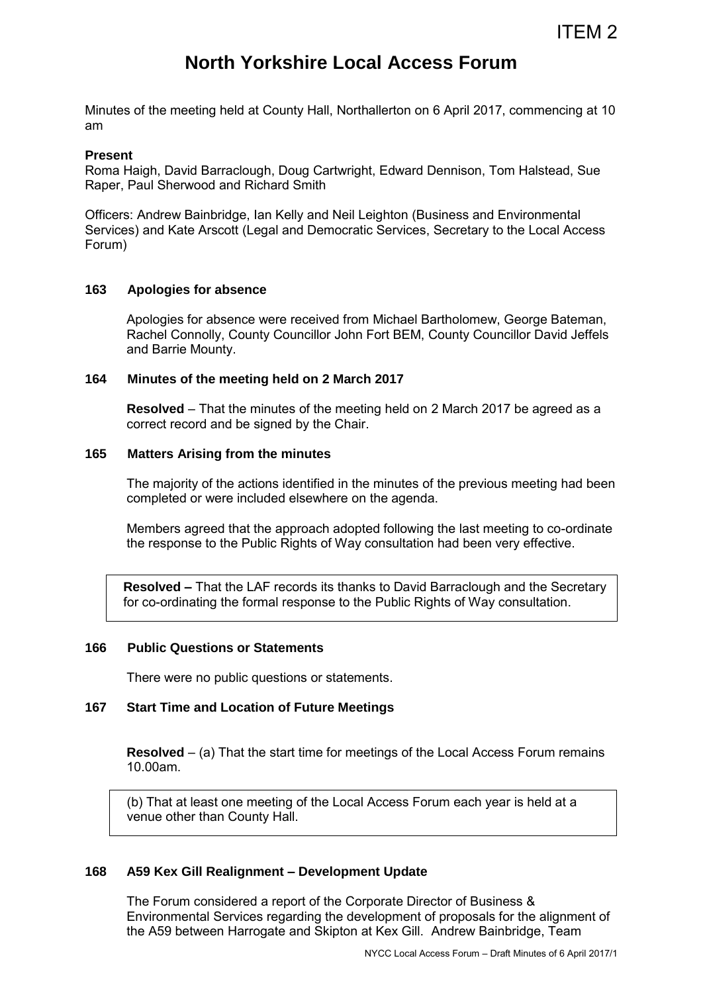# **North Yorkshire Local Access Forum**

Minutes of the meeting held at County Hall, Northallerton on 6 April 2017, commencing at 10 am

#### **Present**

Roma Haigh, David Barraclough, Doug Cartwright, Edward Dennison, Tom Halstead, Sue Raper, Paul Sherwood and Richard Smith

Officers: Andrew Bainbridge, Ian Kelly and Neil Leighton (Business and Environmental Services) and Kate Arscott (Legal and Democratic Services, Secretary to the Local Access Forum)

## **163 Apologies for absence**

Apologies for absence were received from Michael Bartholomew, George Bateman, Rachel Connolly, County Councillor John Fort BEM, County Councillor David Jeffels and Barrie Mounty.

## **164 Minutes of the meeting held on 2 March 2017**

**Resolved** – That the minutes of the meeting held on 2 March 2017 be agreed as a correct record and be signed by the Chair.

#### **165 Matters Arising from the minutes**

 The majority of the actions identified in the minutes of the previous meeting had been completed or were included elsewhere on the agenda.

 Members agreed that the approach adopted following the last meeting to co-ordinate the response to the Public Rights of Way consultation had been very effective.

**Resolved –** That the LAF records its thanks to David Barraclough and the Secretary for co-ordinating the formal response to the Public Rights of Way consultation.

#### **166 Public Questions or Statements**

There were no public questions or statements.

# **167 Start Time and Location of Future Meetings**

**Resolved** – (a) That the start time for meetings of the Local Access Forum remains 10.00am.

(b) That at least one meeting of the Local Access Forum each year is held at a venue other than County Hall.

## **168 A59 Kex Gill Realignment – Development Update**

The Forum considered a report of the Corporate Director of Business & Environmental Services regarding the development of proposals for the alignment of the A59 between Harrogate and Skipton at Kex Gill. Andrew Bainbridge, Team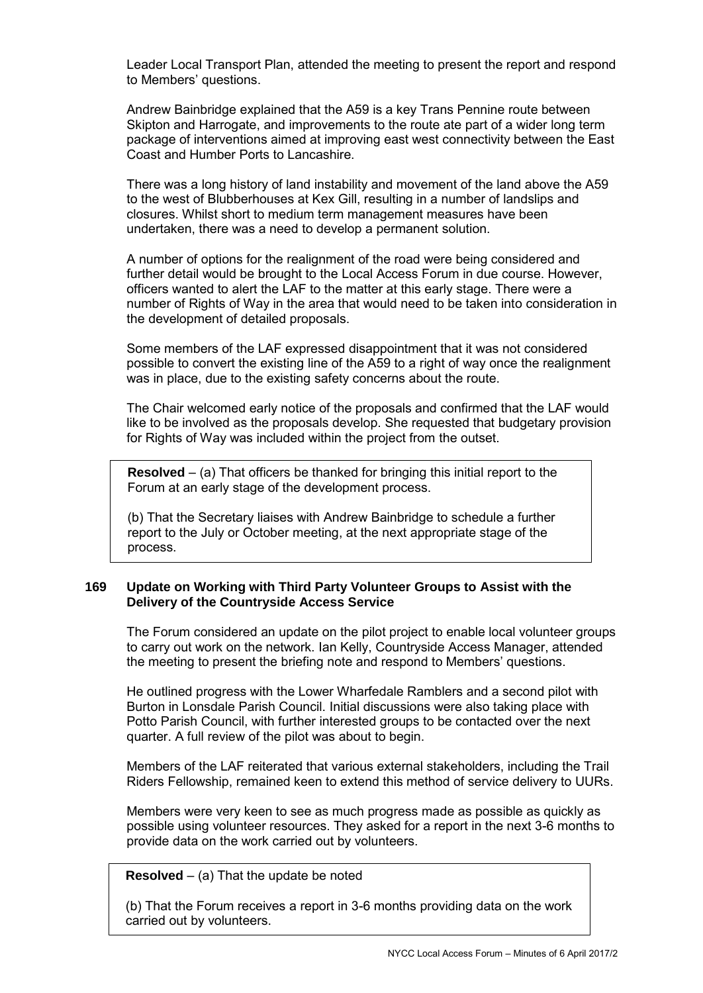Leader Local Transport Plan, attended the meeting to present the report and respond to Members' questions.

Andrew Bainbridge explained that the A59 is a key Trans Pennine route between Skipton and Harrogate, and improvements to the route ate part of a wider long term package of interventions aimed at improving east west connectivity between the East Coast and Humber Ports to Lancashire.

There was a long history of land instability and movement of the land above the A59 to the west of Blubberhouses at Kex Gill, resulting in a number of landslips and closures. Whilst short to medium term management measures have been undertaken, there was a need to develop a permanent solution.

A number of options for the realignment of the road were being considered and further detail would be brought to the Local Access Forum in due course. However, officers wanted to alert the LAF to the matter at this early stage. There were a number of Rights of Way in the area that would need to be taken into consideration in the development of detailed proposals.

Some members of the LAF expressed disappointment that it was not considered possible to convert the existing line of the A59 to a right of way once the realignment was in place, due to the existing safety concerns about the route.

The Chair welcomed early notice of the proposals and confirmed that the LAF would like to be involved as the proposals develop. She requested that budgetary provision for Rights of Way was included within the project from the outset.

**Resolved** – (a) That officers be thanked for bringing this initial report to the Forum at an early stage of the development process.

(b) That the Secretary liaises with Andrew Bainbridge to schedule a further report to the July or October meeting, at the next appropriate stage of the process.

## **169 Update on Working with Third Party Volunteer Groups to Assist with the Delivery of the Countryside Access Service**

The Forum considered an update on the pilot project to enable local volunteer groups to carry out work on the network. Ian Kelly, Countryside Access Manager, attended the meeting to present the briefing note and respond to Members' questions.

He outlined progress with the Lower Wharfedale Ramblers and a second pilot with Burton in Lonsdale Parish Council. Initial discussions were also taking place with Potto Parish Council, with further interested groups to be contacted over the next quarter. A full review of the pilot was about to begin.

Members of the LAF reiterated that various external stakeholders, including the Trail Riders Fellowship, remained keen to extend this method of service delivery to UURs.

Members were very keen to see as much progress made as possible as quickly as possible using volunteer resources. They asked for a report in the next 3-6 months to provide data on the work carried out by volunteers.

**Resolved** – (a) That the update be noted

(b) That the Forum receives a report in 3-6 months providing data on the work carried out by volunteers.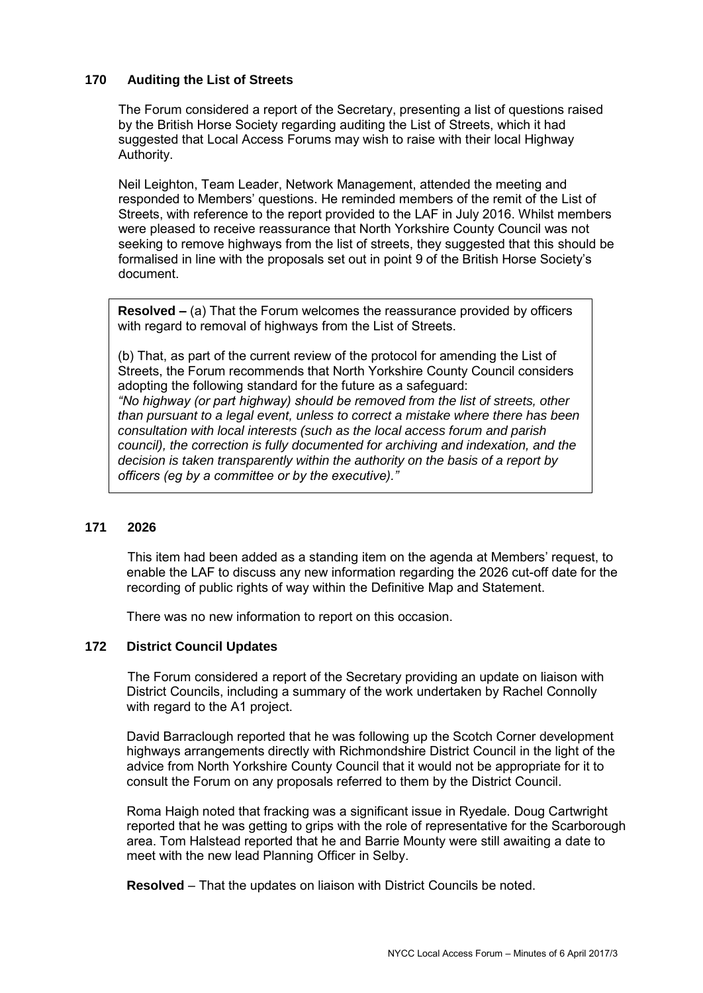# **170 Auditing the List of Streets**

The Forum considered a report of the Secretary, presenting a list of questions raised by the British Horse Society regarding auditing the List of Streets, which it had suggested that Local Access Forums may wish to raise with their local Highway Authority.

Neil Leighton, Team Leader, Network Management, attended the meeting and responded to Members' questions. He reminded members of the remit of the List of Streets, with reference to the report provided to the LAF in July 2016. Whilst members were pleased to receive reassurance that North Yorkshire County Council was not seeking to remove highways from the list of streets, they suggested that this should be formalised in line with the proposals set out in point 9 of the British Horse Society's document.

**Resolved –** (a) That the Forum welcomes the reassurance provided by officers with regard to removal of highways from the List of Streets.

(b) That, as part of the current review of the protocol for amending the List of Streets, the Forum recommends that North Yorkshire County Council considers adopting the following standard for the future as a safeguard: *"No highway (or part highway) should be removed from the list of streets, other than pursuant to a legal event, unless to correct a mistake where there has been consultation with local interests (such as the local access forum and parish council), the correction is fully documented for archiving and indexation, and the decision is taken transparently within the authority on the basis of a report by officers (eg by a committee or by the executive)."* 

# **171 2026**

 This item had been added as a standing item on the agenda at Members' request, to enable the LAF to discuss any new information regarding the 2026 cut-off date for the recording of public rights of way within the Definitive Map and Statement.

There was no new information to report on this occasion.

#### **172 District Council Updates**

The Forum considered a report of the Secretary providing an update on liaison with District Councils, including a summary of the work undertaken by Rachel Connolly with regard to the A1 project.

David Barraclough reported that he was following up the Scotch Corner development highways arrangements directly with Richmondshire District Council in the light of the advice from North Yorkshire County Council that it would not be appropriate for it to consult the Forum on any proposals referred to them by the District Council.

Roma Haigh noted that fracking was a significant issue in Ryedale. Doug Cartwright reported that he was getting to grips with the role of representative for the Scarborough area. Tom Halstead reported that he and Barrie Mounty were still awaiting a date to meet with the new lead Planning Officer in Selby.

**Resolved** – That the updates on liaison with District Councils be noted.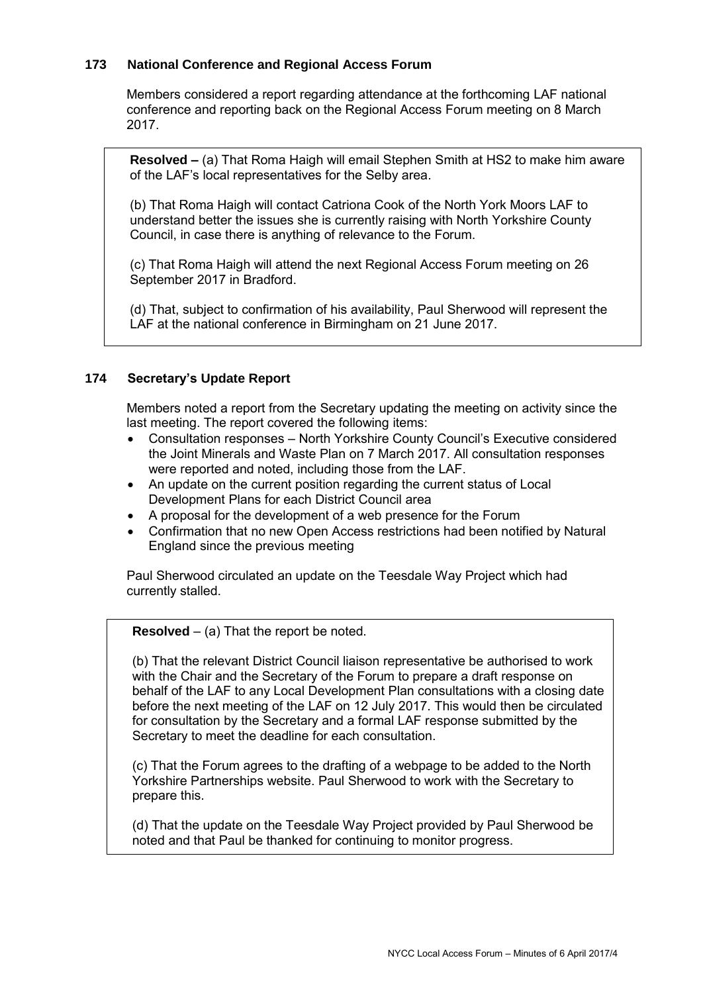# **173 National Conference and Regional Access Forum**

Members considered a report regarding attendance at the forthcoming LAF national conference and reporting back on the Regional Access Forum meeting on 8 March 2017.

**Resolved –** (a) That Roma Haigh will email Stephen Smith at HS2 to make him aware of the LAF's local representatives for the Selby area.

(b) That Roma Haigh will contact Catriona Cook of the North York Moors LAF to understand better the issues she is currently raising with North Yorkshire County Council, in case there is anything of relevance to the Forum.

(c) That Roma Haigh will attend the next Regional Access Forum meeting on 26 September 2017 in Bradford.

(d) That, subject to confirmation of his availability, Paul Sherwood will represent the LAF at the national conference in Birmingham on 21 June 2017.

# **174 Secretary's Update Report**

 Members noted a report from the Secretary updating the meeting on activity since the last meeting. The report covered the following items:

- Consultation responses North Yorkshire County Council's Executive considered the Joint Minerals and Waste Plan on 7 March 2017. All consultation responses were reported and noted, including those from the LAF.
- An update on the current position regarding the current status of Local Development Plans for each District Council area
- A proposal for the development of a web presence for the Forum
- Confirmation that no new Open Access restrictions had been notified by Natural England since the previous meeting

Paul Sherwood circulated an update on the Teesdale Way Project which had currently stalled.

**Resolved** – (a) That the report be noted.

(b) That the relevant District Council liaison representative be authorised to work with the Chair and the Secretary of the Forum to prepare a draft response on behalf of the LAF to any Local Development Plan consultations with a closing date before the next meeting of the LAF on 12 July 2017. This would then be circulated for consultation by the Secretary and a formal LAF response submitted by the Secretary to meet the deadline for each consultation.

(c) That the Forum agrees to the drafting of a webpage to be added to the North Yorkshire Partnerships website. Paul Sherwood to work with the Secretary to prepare this.

(d) That the update on the Teesdale Way Project provided by Paul Sherwood be noted and that Paul be thanked for continuing to monitor progress.